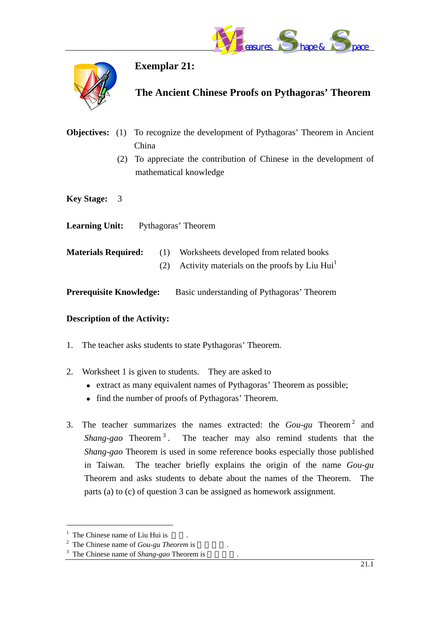



**Exemplar 21:** 

## **The Ancient Chinese Proofs on Pythagoras' Theorem**

- **Objectives:** (1) To recognize the development of Pythagoras' Theorem in Ancient China (2) To appreciate the contribution of Chinese in the development of mathematical knowledge
- **Key Stage:** 3

**Learning Unit:** Pythagoras' Theorem

- **Materials Required:** (1) Worksheets developed from related books (2) Activity materials on the proofs by Liu Hui<sup>[1](#page-0-0)</sup>
- **Prerequisite Knowledge:** Basic understanding of Pythagoras' Theorem

#### **Description of the Activity:**

- 1. The teacher asks students to state Pythagoras' Theorem.
- 2. Worksheet 1 is given to students. They are asked to
	- $\bullet$  extract as many equivalent names of Pythagoras' Theorem as possible;
	- find the number of proofs of Pythagoras' Theorem.
- 3. The teacher summarizes the names extracted: the *Gou-gu* Theorem [2](#page-0-1) and *Shang-gao* Theorem<sup>[3](#page-0-2)</sup>. The teacher may also remind students that the *Shang-gao* Theorem is used in some reference books especially those published in Taiwan. The teacher briefly explains the origin of the name *Gou-gu*  Theorem and asks students to debate about the names of the Theorem. The parts (a) to (c) of question 3 can be assigned as homework assignment.

<span id="page-0-0"></span>

<span id="page-0-2"></span><span id="page-0-1"></span>

<sup>&</sup>lt;sup>1</sup> The Chinese name of Liu Hui is <br><sup>2</sup> The Chinese name of *Gou-gu Theorem* is <br><sup>3</sup> The Chinese name of *Shang-gao* Theorem is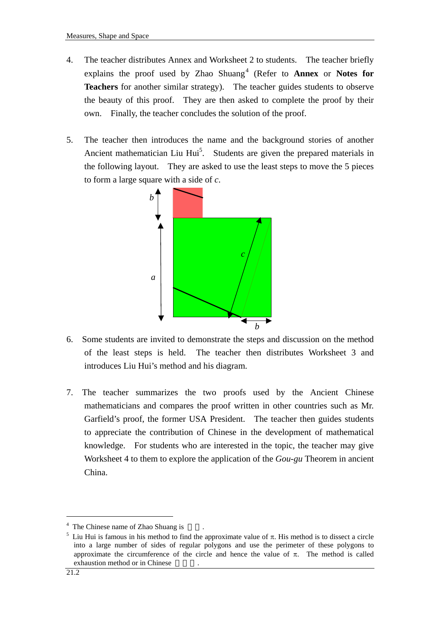- 4. The teacher distributes Annex and Worksheet 2 to students. The teacher briefly explains the proof used by Zhao Shuang<sup>[4](#page-1-0)</sup> (Refer to **Annex** or **Notes for Teachers** for another similar strategy). The teacher guides students to observe the beauty of this proof. They are then asked to complete the proof by their own. Finally, the teacher concludes the solution of the proof.
- 5. The teacher then introduces the name and the background stories of another Ancient mathematician Liu Hui<sup>5</sup>. Students are given the prepared materials in the following layout. They are asked to use the least steps to move the 5 pieces to form a large square with a side of *c*.



- 6. Some students are invited to demonstrate the steps and discussion on the method of the least steps is held. The teacher then distributes Worksheet 3 and introduces Liu Hui's method and his diagram.
- 7. The teacher summarizes the two proofs used by the Ancient Chinese mathematicians and compares the proof written in other countries such as Mr. Garfield's proof, the former USA President. The teacher then guides students to appreciate the contribution of Chinese in the development of mathematical knowledge. For students who are interested in the topic, the teacher may give Worksheet 4 to them to explore the application of the *Gou-gu* Theorem in ancient China.

<span id="page-1-1"></span><span id="page-1-0"></span>

<sup>&</sup>lt;sup>4</sup> The Chinese name of Zhao Shuang is  $5 \text{ Liu Hui}$  is method is to dissect a circle  $5 \text{ Liu Hui}$  is famous in his method to find the approximate value of π. His method is to dissect a circle into a large number of sides of regular polygons and use the perimeter of these polygons to approximate the circumference of the circle and hence the value of  $\pi$ . The method is called exhaustion method or in Chinese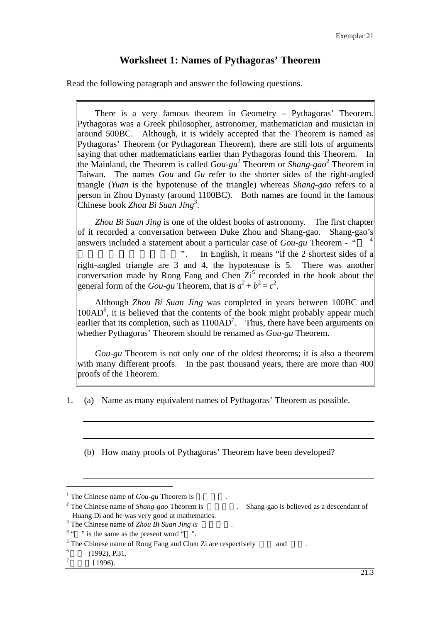### **Worksheet 1: Names of Pythagoras' Theorem**

Read the following paragraph and answer the following questions.

There is a very famous theorem in Geometry – Pythagoras' Theorem. Pythagoras was a Greek philosopher, astronomer, mathematician and musician in around 500BC. Although, it is widely accepted that the Theorem is named as Pythagoras' Theorem (or Pythagorean Theorem), there are still lots of arguments saying that other mathematicians earlier than Pythagoras found this Theorem. In the Mainland, the Theorem is called  $Gou-gu<sup>1</sup>$  Theorem or *Shang-gao*<sup>[2](#page-2-1)</sup> Theorem in Taiwan. The names *Gou* and *Gu* refer to the shorter sides of the right-angled triangle (*Yuan* is the hypotenuse of the triangle) whereas *Shang-gao* refers to a person in Zhou Dynasty (around 1100BC). Both names are found in the famous Chinese book *Zhou Bi Suan Jing*[3](#page-2-2) .

*Zhou Bi Suan Jing* is one of the oldest books of astronomy. The first chapter of it recorded a conversation between Duke Zhou and Shang-gao. Shang-gao's answers included a statement about a particular case of  $Gou-gu$  Theorem - "

". In English, it means "if the 2 shortest sides of a right-angled triangle are 3 and 4, the hypotenuse is 5. There was another conversation made by Rong Fang and Chen  $Z_i^5$  $Z_i^5$  recorded in the book about the general form of the *Gou-gu* Theorem, that is  $a^2 + b^2 = c^2$ .

 Although *Zhou Bi Suan Jing* was completed in years between 100BC and 100AD<sup>[6](#page-2-5)</sup>, it is believed that the contents of the book might probably appear much earlier that its completion, such as  $1100AD^7$ . Thus, there have been arguments on whether Pythagoras' Theorem should be renamed as *Gou-gu* Theorem.

 *Gou-gu* Theorem is not only one of the oldest theorems; it is also a theorem with many different proofs. In the past thousand years, there are more than 400 proofs of the Theorem.

1. (a) Name as many equivalent names of Pythagoras' Theorem as possible.

(b) How many proofs of Pythagoras' Theorem have been developed?

<span id="page-2-0"></span><sup>&</sup>lt;sup>1</sup> The Chinese name of *Gou-gu* Theorem is  $2 \text{ The Chinese name of } S_{\text{Rang, QAG}}$  Theorem is

<span id="page-2-1"></span><sup>&</sup>lt;sup>2</sup> The Chinese name of *Shang-gao* Theorem is  $\qquad \qquad$  Shang-gao is believed as a descendant of Huang Di and he was very good at mathematics.

<span id="page-2-2"></span><sup>&</sup>lt;sup>3</sup> The Chinese name of *Zhou Bi Suan Jing is* 

<span id="page-2-3"></span> $\frac{4}{3}$  " is the same as the present word " ".

<span id="page-2-4"></span><sup>&</sup>lt;sup>5</sup> The Chinese name of Rong Fang and Chen Zi are respectively and  $(1992)$ , P.31. <br><sup>7</sup> (1996).

<span id="page-2-5"></span>

<span id="page-2-6"></span>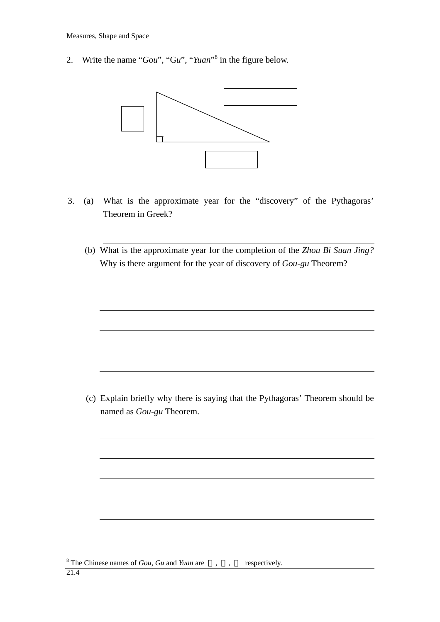2. Write the name "*Gou*", "G*u*", "*Yuan*" [8](#page-3-0) in the figure below.



- 3. (a) What is the approximate year for the "discovery" of the Pythagoras' Theorem in Greek?
	- (b) What is the approximate year for the completion of the *Zhou Bi Suan Jing?* Why is there argument for the year of discovery of *Gou-gu* Theorem?

(c) Explain briefly why there is saying that the Pythagoras' Theorem should be named as *Gou-gu* Theorem.

<span id="page-3-0"></span><sup>&</sup>lt;sup>8</sup> The Chinese names of *Gou*, *Gu* and *Yuan* are , , respectively.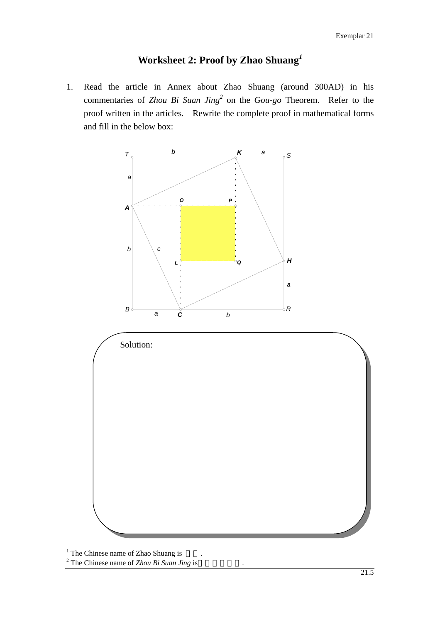# **Worksheet 2: Proof by Zhao Shuang***[1](#page-4-0)*

1. Read the article in Annex about Zhao Shuang (around 300AD) in his commentaries of *Zhou Bi Suan Jing*<sup>[2](#page-4-1)</sup> on the *Gou-go* Theorem. Refer to the proof written in the articles. Rewrite the complete proof in mathematical forms and fill in the below box:



<span id="page-4-0"></span><sup>1</sup> The Chinese name of Zhao Shuang is  $\frac{2}{\pi}$ .

 $\overline{a}$ 

<span id="page-4-1"></span><sup>2</sup> The Chinese name of *Zhou Bi Suan Jing* is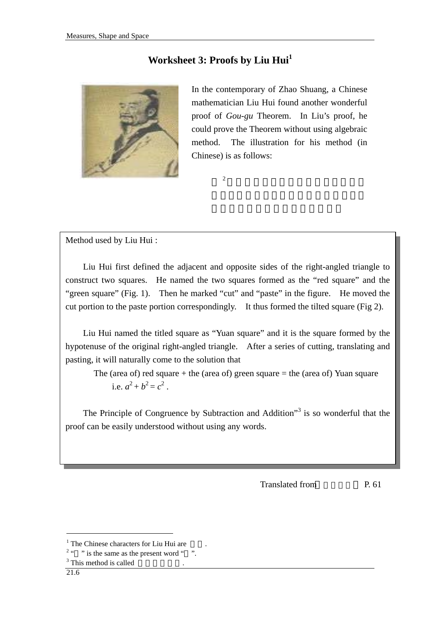## **Worksheet 3: Proofs by Liu Hui[1](#page-5-0)**



In the contemporary of Zhao Shuang, a Chinese mathematician Liu Hui found another wonderful proof of *Gou-gu* Theorem. In Liu's proof, he could prove the Theorem without using algebraic method. The illustration for his method (in Chinese) is as follows:

 $2 \nvert$ 

Method used by Liu Hui :

Liu Hui first defined the adjacent and opposite sides of the right-angled triangle to construct two squares. He named the two squares formed as the "red square" and the "green square" (Fig. 1). Then he marked "cut" and "paste" in the figure. He moved the cut portion to the paste portion correspondingly. It thus formed the tilted square (Fig 2).

Liu Hui named the titled square as "Yuan square" and it is the square formed by the hypotenuse of the original right-angled triangle. After a series of cutting, translating and pasting, it will naturally come to the solution that

The (area of) red square  $+$  the (area of) green square  $=$  the (area of) Yuan square i.e.  $a^2 + b^2 = c^2$ .

The Principle of Congruence by Subtraction and Addition<sup>33</sup> is so wonderful that the proof can be easily understood without using any words.

Translated from P. 61

 $2 \cdot \cdot \cdot$  " is the same as the present word " ".

<span id="page-5-0"></span><sup>&</sup>lt;sup>1</sup> The Chinese characters for Liu Hui are  $2 \frac{2}{1}$   $\ldots$   $\ldots$  is the same as the present word "

 $3$  This method is called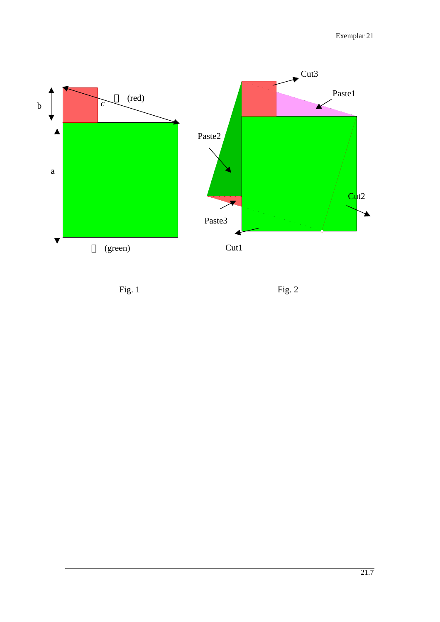

Fig. 1Fig. 2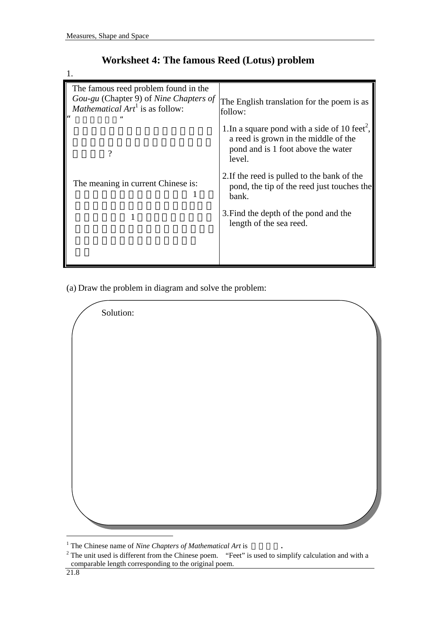1.

| The famous reed problem found in the<br>Gou-gu (Chapter 9) of Nine Chapters of<br><i>Mathematical</i> $Art^1$ is as follow: | The English translation for the poem is as<br>follow:                                                                                             |
|-----------------------------------------------------------------------------------------------------------------------------|---------------------------------------------------------------------------------------------------------------------------------------------------|
| າ                                                                                                                           | 1. In a square pond with a side of 10 feet <sup>2</sup> ,<br>a reed is grown in the middle of the<br>pond and is 1 foot above the water<br>level. |
| The meaning in current Chinese is:                                                                                          | 2. If the reed is pulled to the bank of the<br>pond, the tip of the reed just touches the<br>bank.                                                |
|                                                                                                                             | 3. Find the depth of the pond and the<br>length of the sea reed.                                                                                  |
|                                                                                                                             |                                                                                                                                                   |

## **Worksheet 4: The famous Reed (Lotus) problem**

(a) Draw the problem in diagram and solve the problem:

Solution:

<span id="page-7-0"></span><sup>&</sup>lt;sup>1</sup> The Chinese name of *Nine Chapters of Mathematical Art* is  $\cdot$ 

<span id="page-7-1"></span><sup>&</sup>lt;sup>2</sup> The unit used is different from the Chinese poem. "Feet" is used to simplify calculation and with a comparable length corresponding to the original poem.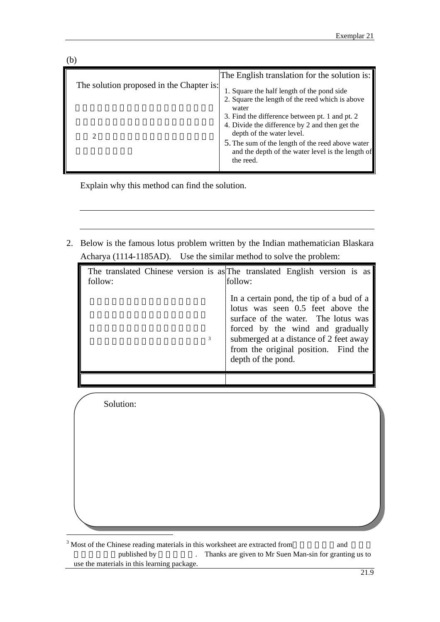| b)                                       |                                                                                                                                                                                           |
|------------------------------------------|-------------------------------------------------------------------------------------------------------------------------------------------------------------------------------------------|
| The solution proposed in the Chapter is: | The English translation for the solution is:                                                                                                                                              |
|                                          | 1. Square the half length of the pond side                                                                                                                                                |
|                                          | 2. Square the length of the reed which is above<br>water<br>3. Find the difference between pt. 1 and pt. 2<br>4. Divide the difference by 2 and then get the<br>depth of the water level. |
|                                          | 5. The sum of the length of the reed above water<br>and the depth of the water level is the length of<br>the reed.                                                                        |

Explain why this method can find the solution.

2. Below is the famous lotus problem written by the Indian mathematician Blaskara Acharya (1114-1185AD). Use the similar method to solve the problem:

| follow: | The translated Chinese version is as The translated English version is as<br>follow:                                                                                                                                                                             |
|---------|------------------------------------------------------------------------------------------------------------------------------------------------------------------------------------------------------------------------------------------------------------------|
| 3       | In a certain pond, the tip of a bud of a<br>lotus was seen 0.5 feet above the<br>surface of the water. The lotus was<br>forced by the wind and gradually<br>submerged at a distance of 2 feet away<br>from the original position. Find the<br>depth of the pond. |
|         |                                                                                                                                                                                                                                                                  |

Solution:

<span id="page-8-0"></span> $3$  Most of the Chinese reading materials in this worksheet are extracted from and published by Thanks are given to Mr Suen Man-sin for granting us to use the materials in this learning package.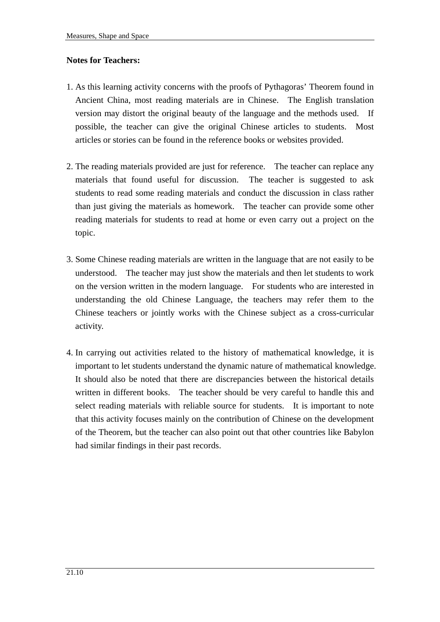#### **Notes for Teachers:**

- 1. As this learning activity concerns with the proofs of Pythagoras' Theorem found in Ancient China, most reading materials are in Chinese. The English translation version may distort the original beauty of the language and the methods used. If possible, the teacher can give the original Chinese articles to students. Most articles or stories can be found in the reference books or websites provided.
- 2. The reading materials provided are just for reference. The teacher can replace any materials that found useful for discussion. The teacher is suggested to ask students to read some reading materials and conduct the discussion in class rather than just giving the materials as homework. The teacher can provide some other reading materials for students to read at home or even carry out a project on the topic.
- 3. Some Chinese reading materials are written in the language that are not easily to be understood. The teacher may just show the materials and then let students to work on the version written in the modern language. For students who are interested in understanding the old Chinese Language, the teachers may refer them to the Chinese teachers or jointly works with the Chinese subject as a cross-curricular activity.
- 4. In carrying out activities related to the history of mathematical knowledge, it is important to let students understand the dynamic nature of mathematical knowledge. It should also be noted that there are discrepancies between the historical details written in different books. The teacher should be very careful to handle this and select reading materials with reliable source for students. It is important to note that this activity focuses mainly on the contribution of Chinese on the development of the Theorem, but the teacher can also point out that other countries like Babylon had similar findings in their past records.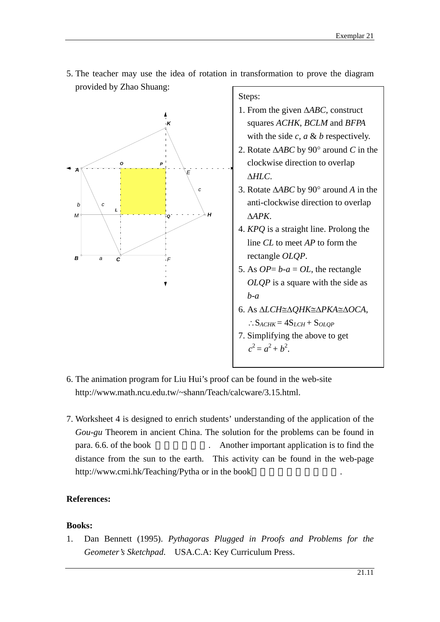5. The teacher may use the idea of rotation in transformation to prove the diagram provided by Zhao Shuang:



Steps:

- 1. From the given ∆*ABC*, construct squares *ACHK*, *BCLM* and *BFPA* with the side *c*, *a* & *b* respectively.
- 2. Rotate ∆*ABC* by 90° around *C* in the clockwise direction to overlap ∆*HLC*.
- 3. Rotate ∆*ABC* by 90° around *A* in the anti-clockwise direction to overlap ∆*APK*.
- 4. *KPQ* is a straight line. Prolong the line *CL* to meet *AP* to form the rectangle *OLQP*.
- 5. As  $OP = b-a = OL$ , the rectangle *OLQP* is a square with the side as *b-a*
- 6. As ∆*LCH*≅∆*QHK*≅∆*PKA*≅∆*OCA*,

$$
\therefore S_{ACHK} = 4S_{LCH} + S_{OLQP}
$$

- 7. Simplifying the above to get  $c^2 = a^2 + b^2$ .
- 6. The animation program for Liu Hui's proof can be found in the web-site http://www.math.ncu.edu.tw/~shann/Teach/calcware/3.15.html.
- 7. Worksheet 4 is designed to enrich students' understanding of the application of the *Gou-gu* Theorem in ancient China. The solution for the problems can be found in para. 6.6. of the book . Another important application is to find the distance from the sun to the earth. This activity can be found in the web-page http://www.cmi.hk/Teaching/Pytha or in the book

#### **References:**

#### **Books:**

1. Dan Bennett (1995). *Pythagoras Plugged in Proofs and Problems for the Geometer's Sketchpad*. USA.C.A: Key Curriculum Press.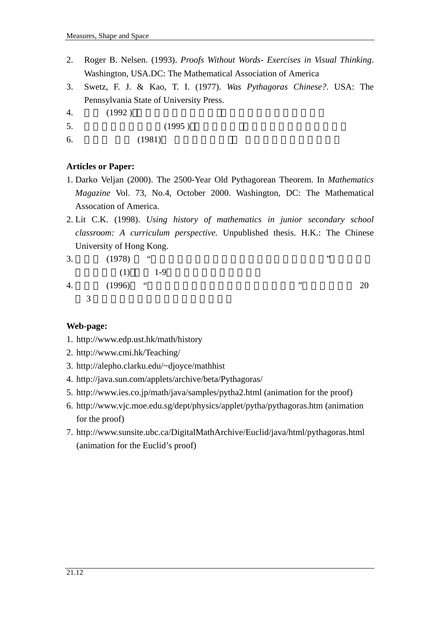- 2. Roger B. Nelsen. (1993). *Proofs Without Words- Exercises in Visual Thinking*. Washington, USA.DC: The Mathematical Association of America
- 3. Swetz, F. J. & Kao, T. I. (1977). *Was Pythagoras Chinese?*. USA: The Pennsylvania State of University Press.
- 4. (1992)
- $5. \hspace{1.5cm} (1995)$
- 6.  $(1981)$

## **Articles or Paper:**

- 1. Darko Veljan (2000). The 2500-Year Old Pythagorean Theorem. In *Mathematics Magazine* Vol. 73, No.4, October 2000. Washington, DC: The Mathematical Assocation of America.
- 2. Lit C.K. (1998). *Using history of mathematics in junior secondary school classroom: A curriculum perspective.* Unpublished thesis. H.K.: The Chinese University of Hong Kong.
- 3.  $(1978)$  " $(2978)$  "  $(1)$  1-9 4. (1996) " $1996$  $3 \n3$

### **Web-page:**

- 1. http://www.edp.ust.hk/math/history
- 2. http://www.cmi.hk/Teaching/
- 3. http://alepho.clarku.edu/~djoyce/mathhist
- 4. http://java.sun.com/applets/archive/beta/Pythagoras/
- 5. http://www.ies.co.jp/math/java/samples/pytha2.html (animation for the proof)
- 6. http://www.vjc.moe.edu.sg/dept/physics/applet/pytha/pythagoras.htm (animation for the proof)
- 7. http://www.sunsite.ubc.ca/DigitalMathArchive/Euclid/java/html/pythagoras.html (animation for the Euclid's proof)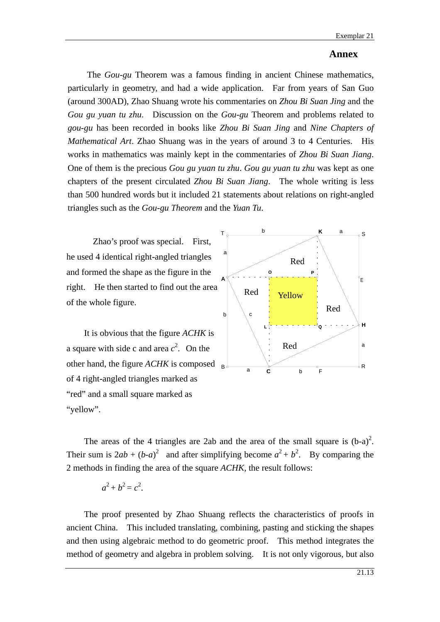#### **Annex**

The *Gou-gu* Theorem was a famous finding in ancient Chinese mathematics, particularly in geometry, and had a wide application. Far from years of San Guo (around 300AD), Zhao Shuang wrote his commentaries on *Zhou Bi Suan Jing* and the *Gou gu yuan tu zhu*. Discussion on the *Gou-gu* Theorem and problems related to *gou-gu* has been recorded in books like *Zhou Bi Suan Jing* and *Nine Chapters of Mathematical Art*. Zhao Shuang was in the years of around 3 to 4 Centuries. His works in mathematics was mainly kept in the commentaries of *Zhou Bi Suan Jiang*. One of them is the precious *Gou gu yuan tu zhu*. *Gou gu yuan tu zhu* was kept as one chapters of the present circulated *Zhou Bi Suan Jiang*. The whole writing is less than 500 hundred words but it included 21 statements about relations on right-angled triangles such as the *Gou-gu Theorem* and the *Yuan Tu*.

Zhao's proof was special. First, he used 4 identical right-angled triangles and formed the shape as the figure in the right. He then started to find out the area of the whole figure.

It is obvious that the figure *ACHK* is a square with side c and area  $c^2$ . On the other hand, the figure *ACHK* is composed <sub>B</sub> of 4 right-angled triangles marked as "red" and a small square marked as "yellow".



The areas of the 4 triangles are 2ab and the area of the small square is  $(b-a)^2$ . Their sum is  $2ab + (b-a)^2$  and after simplifying become  $a^2 + b^2$ . By comparing the 2 methods in finding the area of the square *ACHK*, the result follows:

$$
a^2+b^2=c^2.
$$

The proof presented by Zhao Shuang reflects the characteristics of proofs in ancient China. This included translating, combining, pasting and sticking the shapes and then using algebraic method to do geometric proof. This method integrates the method of geometry and algebra in problem solving. It is not only vigorous, but also